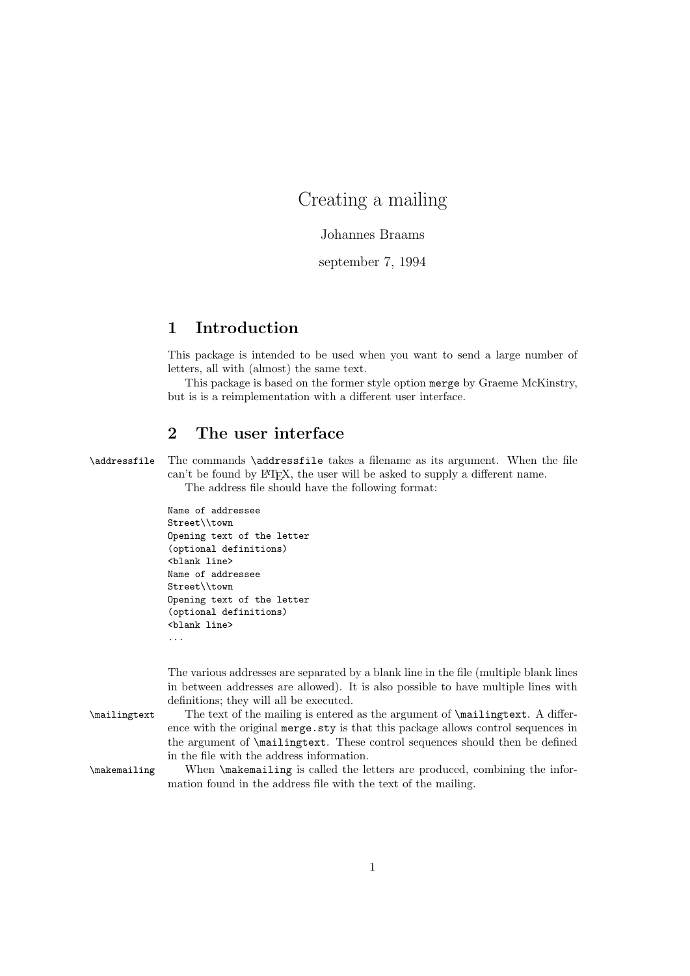# Creating a mailing

Johannes Braams

september 7, 1994

### 1 Introduction

This package is intended to be used when you want to send a large number of letters, all with (almost) the same text.

This package is based on the former style option merge by Graeme McKinstry, but is is a reimplementation with a different user interface.

## 2 The user interface

\addressfile The commands \addressfile takes a filename as its argument. When the file can't be found by LATEX, the user will be asked to supply a different name. The address file should have the following format:

| Name of addressee          |
|----------------------------|
| Street\\town               |
| Opening text of the letter |
| (optional definitions)     |
| <blank line=""></blank>    |
| Name of addressee          |
| Street\\town               |
| Opening text of the letter |
| (optional definitions)     |
| <blank line=""></blank>    |
|                            |

The various addresses are separated by a blank line in the file (multiple blank lines in between addresses are allowed). It is also possible to have multiple lines with definitions; they will all be executed.

\mailingtext The text of the mailing is entered as the argument of \mailingtext. A difference with the original merge.sty is that this package allows control sequences in the argument of \mailingtext. These control sequences should then be defined in the file with the address information.

\makemailing When \makemailing is called the letters are produced, combining the information found in the address file with the text of the mailing.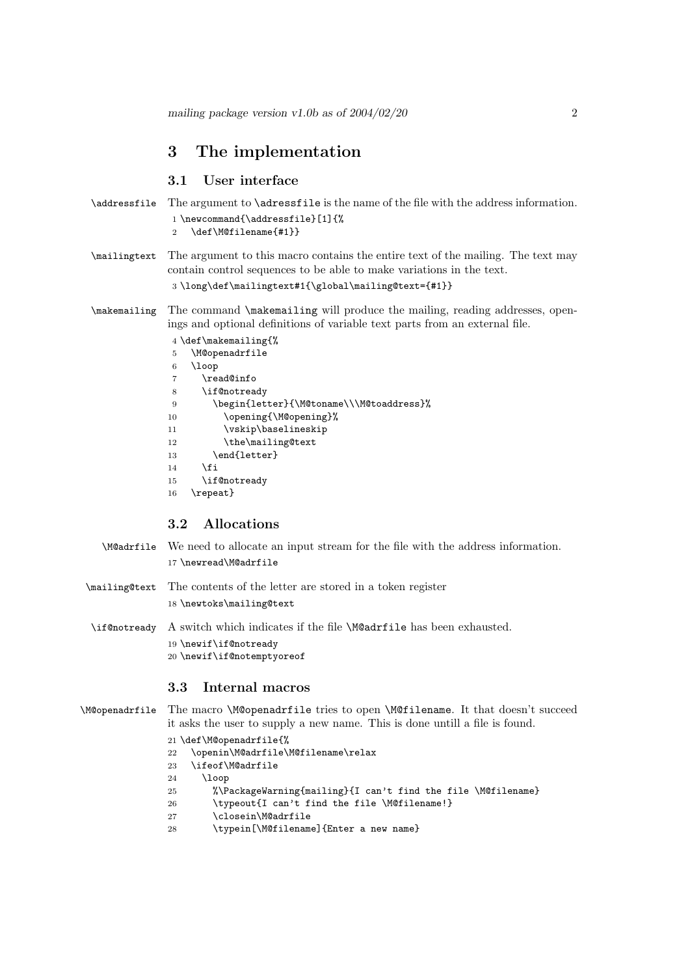### 3 The implementation

#### 3.1 User interface

```
\addressfile The argument to \adressfile is the name of the file with the address information.
               1 \newcommand{\addressfile}[1]{%
               2 \def\M@filename{#1}}
\mailingtext The argument to this macro contains the entire text of the mailing. The text may
```
contain control sequences to be able to make variations in the text.

\long\def\mailingtext#1{\global\mailing@text={#1}}

\makemailing The command \makemailing will produce the mailing, reading addresses, openings and optional definitions of variable text parts from an external file.

|    | $4 \def\mathcal{M}$                      |
|----|------------------------------------------|
| 5  | \M@openadrfile                           |
| 6  | \loop                                    |
| 7  | \read@info                               |
| 8  | \if@notready                             |
| 9  | \begin{letter}{\M@toname\\\M@toaddress}% |
| 10 | \opening{\M@opening}%                    |
| 11 | \vskip\baselineskip                      |
| 12 | \the\mailing@text                        |
| 13 | \end{letter}                             |
| 14 | <b>\fi</b>                               |
| 15 | \if@notready                             |
| 16 | \repeat}                                 |

#### 3.2 Allocations

\M@adrfile We need to allocate an input stream for the file with the address information. \newread\M@adrfile

\mailing@text The contents of the letter are stored in a token register \newtoks\mailing@text

\if@notready A switch which indicates if the file \M@adrfile has been exhausted. \newif\if@notready \newif\if@notemptyoreof

#### 3.3 Internal macros

```
\M@openadrfile The macro \M@openadrfile tries to open \M@filename. It that doesn't succeed
                it asks the user to supply a new name. This is done untill a file is found.
```

```
21 \def\M@openadrfile{%
```
- \openin\M@adrfile\M@filename\relax
- \ifeof\M@adrfile
- \loop
- %\PackageWarning{mailing}{I can't find the file \M@filename}
- 26 \typeout{I can't find the file \M@filename!}
- \closein\M@adrfile
- \typein[\M@filename]{Enter a new name}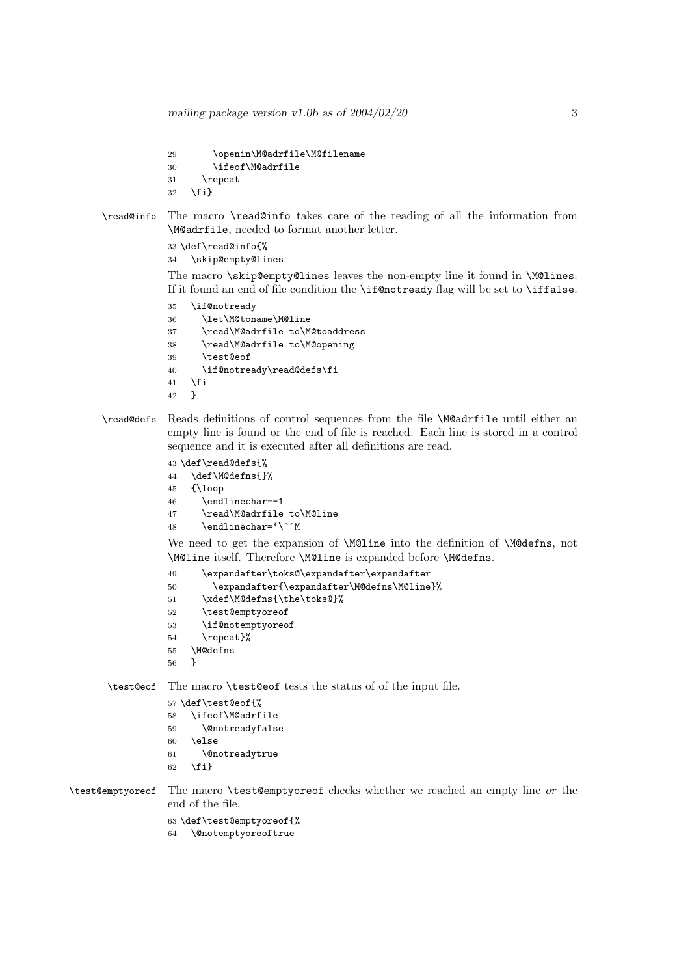mailing package version v1.0b as of  $2004/02/20$  3

```
29 \openin\M@adrfile\M@filename
30 \ifeof\M@adrfile
31 \repeat
32 \fi}
```
\read@info The macro \read@info takes care of the reading of all the information from \M@adrfile, needed to format another letter.

```
33 \def\read@info{%
34 \skip@empty@lines
```
The macro \skip@empty@lines leaves the non-empty line it found in \M@lines. If it found an end of file condition the \if@notready flag will be set to \iffalse.

- \if@notready \let\M@toname\M@line \read\M@adrfile to\M@toaddress \read\M@adrfile to\M@opening \test@eof \if@notready\read@defs\fi \fi }
- \read@defs Reads definitions of control sequences from the file \M@adrfile until either an empty line is found or the end of file is reached. Each line is stored in a control sequence and it is executed after all definitions are read.

```
43 \def\read@defs{%
```

```
44 \def\M@defns{}%
```
- {\loop
- \endlinechar=-1
- \read\M@adrfile to\M@line
- \endlinechar='\^^M

We need to get the expansion of \M@line into the definition of \M@defns, not \M@line itself. Therefore \M@line is expanded before \M@defns.

- \expandafter\toks@\expandafter\expandafter
- \expandafter{\expandafter\M@defns\M@line}%
- 51 \xdef\M@defns{\the\toks@}%
- \test@emptyoreof
- \if@notemptyoreof
- \repeat}%
- \M@defns
- }

\test@eof The macro \test@eof tests the status of of the input file.

```
57 \def\test@eof{%
58 \ifeof\M@adrfile
59 \@notreadyfalse
60 \else
61 \@notreadytrue
62 \{f_i\}
```
- 
- 

\test@emptyoreof The macro \test@emptyoreof checks whether we reached an empty line or the end of the file.

> \def\test@emptyoreof{% \@notemptyoreoftrue